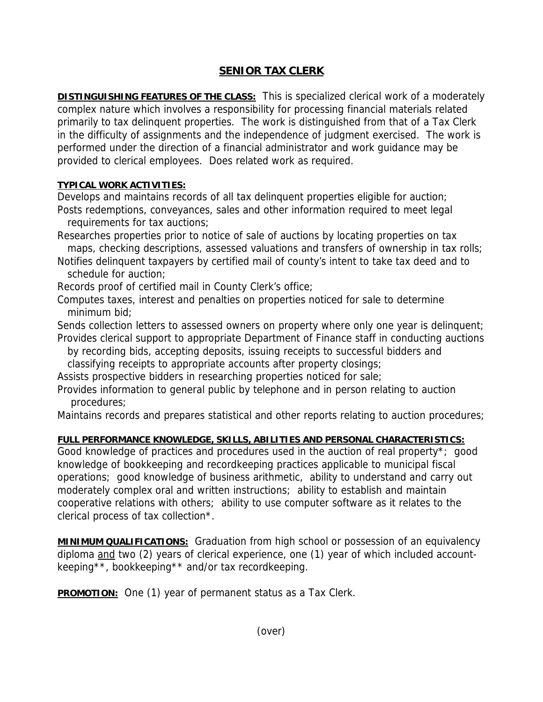## **SENIOR TAX CLERK**

**DISTINGUISHING FEATURES OF THE CLASS:** This is specialized clerical work of a moderately complex nature which involves a responsibility for processing financial materials related primarily to tax delinquent properties. The work is distinguished from that of a Tax Clerk in the difficulty of assignments and the independence of judgment exercised. The work is performed under the direction of a financial administrator and work guidance may be provided to clerical employees. Does related work as required.

## **TYPICAL WORK ACTIVITIES:**

Develops and maintains records of all tax delinquent properties eligible for auction;

Posts redemptions, conveyances, sales and other information required to meet legal requirements for tax auctions;

Researches properties prior to notice of sale of auctions by locating properties on tax maps, checking descriptions, assessed valuations and transfers of ownership in tax rolls;

Notifies delinquent taxpayers by certified mail of county's intent to take tax deed and to schedule for auction;

Records proof of certified mail in County Clerk's office;

Computes taxes, interest and penalties on properties noticed for sale to determine minimum bid;

Sends collection letters to assessed owners on property where only one year is delinquent; Provides clerical support to appropriate Department of Finance staff in conducting auctions

 by recording bids, accepting deposits, issuing receipts to successful bidders and classifying receipts to appropriate accounts after property closings;

Assists prospective bidders in researching properties noticed for sale;

Provides information to general public by telephone and in person relating to auction procedures;

Maintains records and prepares statistical and other reports relating to auction procedures;

## **FULL PERFORMANCE KNOWLEDGE, SKILLS, ABILITIES AND PERSONAL CHARACTERISTICS:**

Good knowledge of practices and procedures used in the auction of real property\*; good knowledge of bookkeeping and recordkeeping practices applicable to municipal fiscal operations; good knowledge of business arithmetic, ability to understand and carry out moderately complex oral and written instructions; ability to establish and maintain cooperative relations with others; ability to use computer software as it relates to the clerical process of tax collection\*.

**MINIMUM QUALIFICATIONS:** Graduation from high school or possession of an equivalency diploma and two (2) years of clerical experience, one (1) year of which included accountkeeping\*\*, bookkeeping\*\* and/or tax recordkeeping.

**PROMOTION:** One (1) year of permanent status as a Tax Clerk.